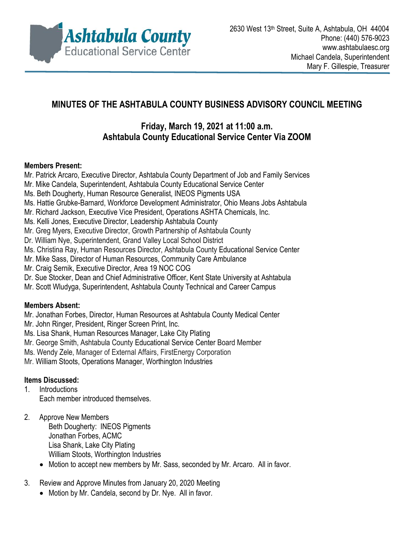

# **MINUTES OF THE ASHTABULA COUNTY BUSINESS ADVISORY COUNCIL MEETING**

# **Friday, March 19, 2021 at 11:00 a.m. Ashtabula County Educational Service Center Via ZOOM**

#### **Members Present:**

- Mr. Patrick Arcaro, Executive Director, Ashtabula County Department of Job and Family Services
- Mr. Mike Candela, Superintendent, Ashtabula County Educational Service Center
- Ms. Beth Dougherty, Human Resource Generalist, INEOS Pigments USA
- Ms. Hattie Grubke-Barnard, Workforce Development Administrator, Ohio Means Jobs Ashtabula
- Mr. Richard Jackson, Executive Vice President, Operations ASHTA Chemicals, Inc.
- Ms. Kelli Jones, Executive Director, Leadership Ashtabula County
- Mr. Greg Myers, Executive Director, Growth Partnership of Ashtabula County
- Dr. William Nye, Superintendent, Grand Valley Local School District
- Ms. Christina Ray, Human Resources Director, Ashtabula County Educational Service Center
- Mr. Mike Sass, Director of Human Resources, Community Care Ambulance
- Mr. Craig Sernik, Executive Director, Area 19 NOC COG
- Dr. Sue Stocker, Dean and Chief Administrative Officer, Kent State University at Ashtabula
- Mr. Scott Wludyga, Superintendent, Ashtabula County Technical and Career Campus

## **Members Absent:**

- Mr. Jonathan Forbes, Director, Human Resources at Ashtabula County Medical Center
- Mr. John Ringer, President, Ringer Screen Print, Inc.
- Ms. Lisa Shank, Human Resources Manager, Lake City Plating
- Mr. George Smith, Ashtabula County Educational Service Center Board Member
- Ms. Wendy Zele, Manager of External Affairs, FirstEnergy Corporation
- Mr. William Stoots, Operations Manager, Worthington Industries

## **Items Discussed:**

- 1. Introductions Each member introduced themselves.
- 2. Approve New Members Beth Dougherty: INEOS Pigments Jonathan Forbes, ACMC Lisa Shank, Lake City Plating William Stoots, Worthington Industries
	- Motion to accept new members by Mr. Sass, seconded by Mr. Arcaro. All in favor.
- 3. Review and Approve Minutes from January 20, 2020 Meeting
	- Motion by Mr. Candela, second by Dr. Nye. All in favor.